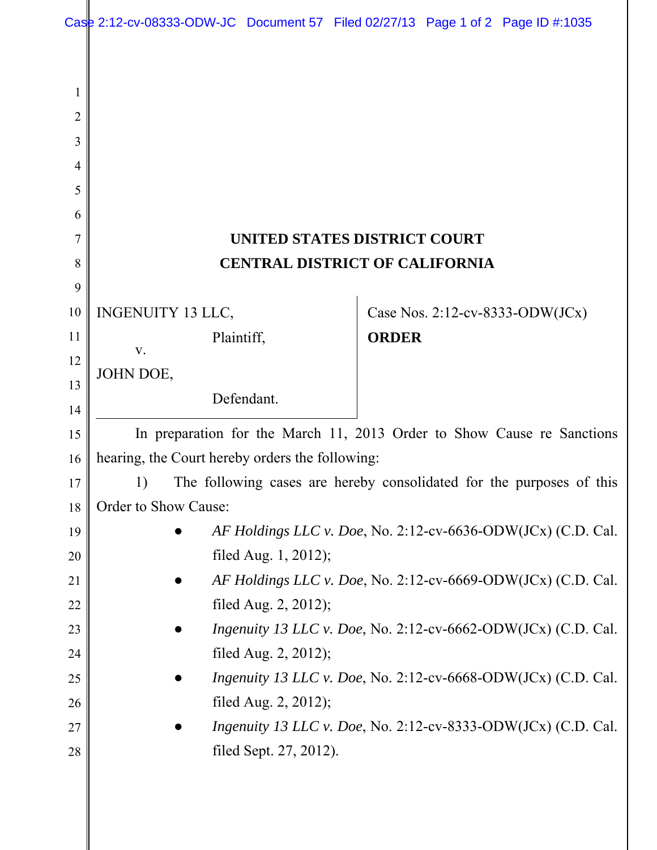|        | Case 2:12-cv-08333-ODW-JC Document 57 Filed 02/27/13 Page 1 of 2 Page ID #:1035                |            |              |  |                                 |
|--------|------------------------------------------------------------------------------------------------|------------|--------------|--|---------------------------------|
|        |                                                                                                |            |              |  |                                 |
|        |                                                                                                |            |              |  |                                 |
| 1      |                                                                                                |            |              |  |                                 |
| 2<br>3 |                                                                                                |            |              |  |                                 |
| 4      |                                                                                                |            |              |  |                                 |
| 5      |                                                                                                |            |              |  |                                 |
| 6      |                                                                                                |            |              |  |                                 |
| 7      | <b>UNITED STATES DISTRICT COURT</b>                                                            |            |              |  |                                 |
| 8      | <b>CENTRAL DISTRICT OF CALIFORNIA</b>                                                          |            |              |  |                                 |
| 9      |                                                                                                |            |              |  |                                 |
| 10     | <b>INGENUITY 13 LLC,</b>                                                                       |            |              |  | Case Nos. 2:12-cv-8333-ODW(JCx) |
| 11     |                                                                                                | Plaintiff, | <b>ORDER</b> |  |                                 |
| 12     | V.                                                                                             |            |              |  |                                 |
| 13     | JOHN DOE,                                                                                      |            |              |  |                                 |
| 14     |                                                                                                | Defendant. |              |  |                                 |
| 15     | In preparation for the March 11, 2013 Order to Show Cause re Sanctions                         |            |              |  |                                 |
| 16     | hearing, the Court hereby orders the following:                                                |            |              |  |                                 |
| 17     | The following cases are hereby consolidated for the purposes of this<br>1)                     |            |              |  |                                 |
| 18     | Order to Show Cause:                                                                           |            |              |  |                                 |
| 19     | AF Holdings LLC v. Doe, No. 2:12-cv-6636-ODW(JCx) (C.D. Cal.                                   |            |              |  |                                 |
| 20     | filed Aug. 1, 2012);                                                                           |            |              |  |                                 |
| 21     | AF Holdings LLC v. Doe, No. 2:12-cv-6669-ODW(JCx) (C.D. Cal.                                   |            |              |  |                                 |
| 22     | filed Aug. $2, 2012$ );                                                                        |            |              |  |                                 |
| 23     | <i>Ingenuity 13 LLC v. Doe, No. 2:12-cv-6662-ODW(JCx) (C.D. Cal.</i>                           |            |              |  |                                 |
| 24     | filed Aug. $2, 2012$ );                                                                        |            |              |  |                                 |
| 25     | <i>Ingenuity 13 LLC v. Doe, No. 2:12-cv-6668-ODW(JCx) (C.D. Cal.</i>                           |            |              |  |                                 |
| 26     | filed Aug. $2, 2012$ );                                                                        |            |              |  |                                 |
| 27     | <i>Ingenuity 13 LLC v. Doe, No. 2:12-cv-8333-ODW(JCx) (C.D. Cal.</i><br>filed Sept. 27, 2012). |            |              |  |                                 |
| 28     |                                                                                                |            |              |  |                                 |
|        |                                                                                                |            |              |  |                                 |